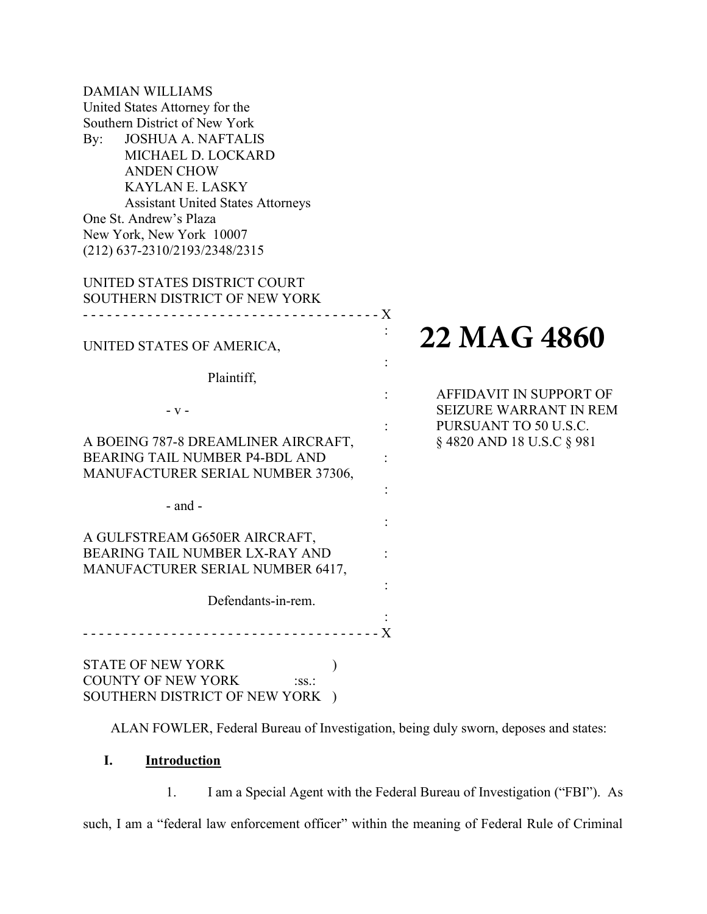| <b>DAMIAN WILLIAMS</b><br>United States Attorney for the<br>Southern District of New York<br><b>JOSHUA A. NAFTALIS</b><br>$\rm\,By:$<br>MICHAEL D. LOCKARD<br><b>ANDEN CHOW</b><br><b>KAYLAN E. LASKY</b><br><b>Assistant United States Attorneys</b><br>One St. Andrew's Plaza<br>New York, New York 10007<br>(212) 637-2310/2193/2348/2315 |                                                          |
|----------------------------------------------------------------------------------------------------------------------------------------------------------------------------------------------------------------------------------------------------------------------------------------------------------------------------------------------|----------------------------------------------------------|
| UNITED STATES DISTRICT COURT<br>SOUTHERN DISTRICT OF NEW YORK                                                                                                                                                                                                                                                                                |                                                          |
| - - - - - - - - X<br>UNITED STATES OF AMERICA,                                                                                                                                                                                                                                                                                               | 22 MAG 4860                                              |
| Plaintiff,<br>$-V -$                                                                                                                                                                                                                                                                                                                         | AFFIDAVIT IN SUPPORT OF<br><b>SEIZURE WARRANT IN REM</b> |
| A BOEING 787-8 DREAMLINER AIRCRAFT,<br><b>BEARING TAIL NUMBER P4-BDL AND</b><br>MANUFACTURER SERIAL NUMBER 37306,                                                                                                                                                                                                                            | PURSUANT TO 50 U.S.C.<br>§ 4820 AND 18 U.S.C § 981       |
| $-$ and $-$                                                                                                                                                                                                                                                                                                                                  |                                                          |
| A GULFSTREAM G650ER AIRCRAFT,<br>BEARING TAIL NUMBER LX-RAY AND<br>MANUFACTURER SERIAL NUMBER 6417,                                                                                                                                                                                                                                          |                                                          |
| Defendants-in-rem.                                                                                                                                                                                                                                                                                                                           |                                                          |
|                                                                                                                                                                                                                                                                                                                                              | $\mathbf{X}$                                             |
| <b>STATE OF NEW YORK</b><br><b>COUNTY OF NEW YORK</b><br>$:SS.$ :<br>SOUTHERN DISTRICT OF NEW YORK )                                                                                                                                                                                                                                         |                                                          |

ALAN FOWLER, Federal Bureau of Investigation, being duly sworn, deposes and states:

# I. Introduction

1. I am a Special Agent with the Federal Bureau of Investigation ("FBI"). As such, I am a "federal law enforcement officer" within the meaning of Federal Rule of Criminal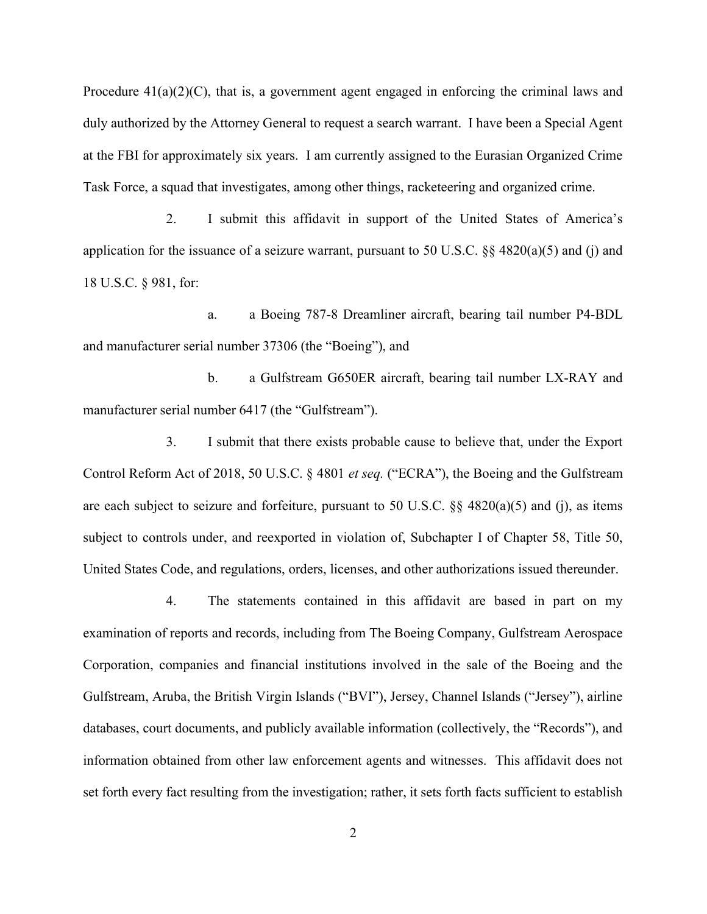Procedure  $41(a)(2)(C)$ , that is, a government agent engaged in enforcing the criminal laws and duly authorized by the Attorney General to request a search warrant. I have been a Special Agent at the FBI for approximately six years. I am currently assigned to the Eurasian Organized Crime Task Force, a squad that investigates, among other things, racketeering and organized crime.

2. I submit this affidavit in support of the United States of America's application for the issuance of a seizure warrant, pursuant to 50 U.S.C. §§ 4820(a)(5) and (j) and 18 U.S.C. § 981, for:

a. a Boeing 787-8 Dreamliner aircraft, bearing tail number P4-BDL and manufacturer serial number 37306 (the "Boeing"), and

b. a Gulfstream G650ER aircraft, bearing tail number LX-RAY and manufacturer serial number 6417 (the "Gulfstream").

3. I submit that there exists probable cause to believe that, under the Export Control Reform Act of 2018, 50 U.S.C. § 4801 et seq. ("ECRA"), the Boeing and the Gulfstream are each subject to seizure and forfeiture, pursuant to 50 U.S.C.  $\S$  4820(a)(5) and (j), as items subject to controls under, and reexported in violation of, Subchapter I of Chapter 58, Title 50, United States Code, and regulations, orders, licenses, and other authorizations issued thereunder.

4. The statements contained in this affidavit are based in part on my examination of reports and records, including from The Boeing Company, Gulfstream Aerospace Corporation, companies and financial institutions involved in the sale of the Boeing and the Gulfstream, Aruba, the British Virgin Islands ("BVI"), Jersey, Channel Islands ("Jersey"), airline databases, court documents, and publicly available information (collectively, the "Records"), and information obtained from other law enforcement agents and witnesses. This affidavit does not set forth every fact resulting from the investigation; rather, it sets forth facts sufficient to establish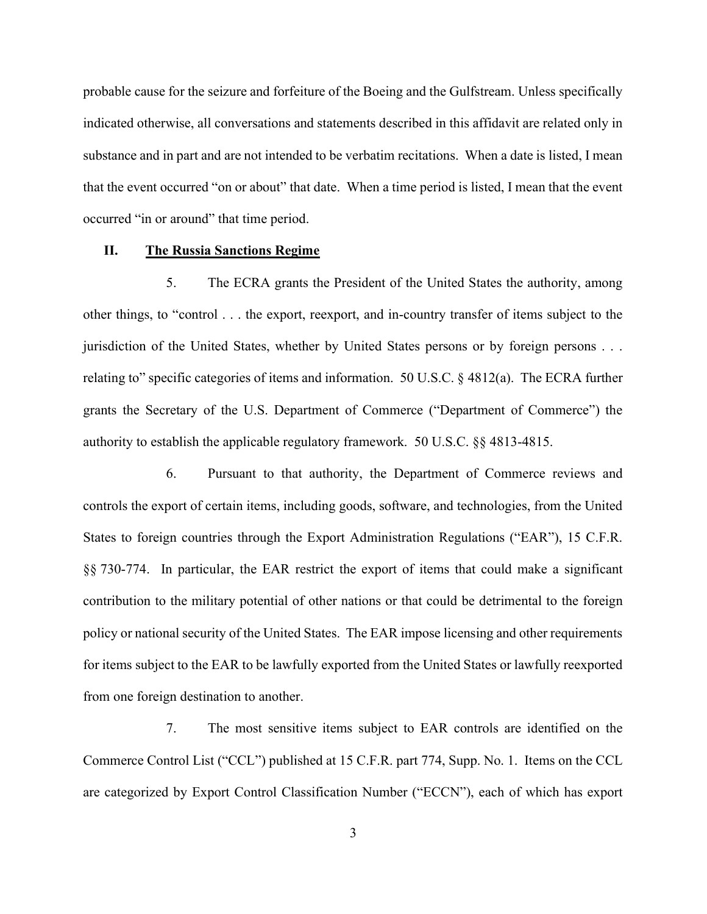probable cause for the seizure and forfeiture of the Boeing and the Gulfstream. Unless specifically indicated otherwise, all conversations and statements described in this affidavit are related only in substance and in part and are not intended to be verbatim recitations. When a date is listed, I mean that the event occurred "on or about" that date. When a time period is listed, I mean that the event occurred "in or around" that time period.

#### II. The Russia Sanctions Regime

5. The ECRA grants the President of the United States the authority, among other things, to "control . . . the export, reexport, and in-country transfer of items subject to the jurisdiction of the United States, whether by United States persons or by foreign persons . . . relating to" specific categories of items and information. 50 U.S.C. § 4812(a). The ECRA further grants the Secretary of the U.S. Department of Commerce ("Department of Commerce") the authority to establish the applicable regulatory framework. 50 U.S.C. §§ 4813-4815.

6. Pursuant to that authority, the Department of Commerce reviews and controls the export of certain items, including goods, software, and technologies, from the United States to foreign countries through the Export Administration Regulations ("EAR"), 15 C.F.R. §§ 730-774. In particular, the EAR restrict the export of items that could make a significant contribution to the military potential of other nations or that could be detrimental to the foreign policy or national security of the United States. The EAR impose licensing and other requirements for items subject to the EAR to be lawfully exported from the United States or lawfully reexported from one foreign destination to another.

7. The most sensitive items subject to EAR controls are identified on the Commerce Control List ("CCL") published at 15 C.F.R. part 774, Supp. No. 1. Items on the CCL are categorized by Export Control Classification Number ("ECCN"), each of which has export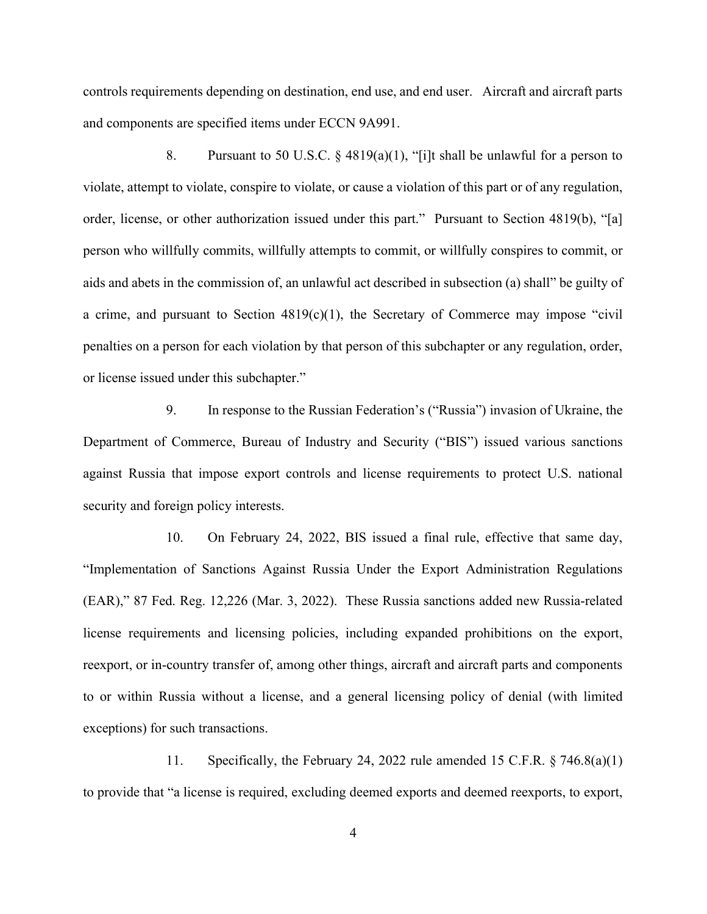controls requirements depending on destination, end use, and end user. Aircraft and aircraft parts and components are specified items under ECCN 9A991.

8. Pursuant to 50 U.S.C.  $\S$  4819(a)(1), "[i]t shall be unlawful for a person to violate, attempt to violate, conspire to violate, or cause a violation of this part or of any regulation, order, license, or other authorization issued under this part." Pursuant to Section 4819(b), "[a] person who willfully commits, willfully attempts to commit, or willfully conspires to commit, or aids and abets in the commission of, an unlawful act described in subsection (a) shall" be guilty of a crime, and pursuant to Section  $4819(c)(1)$ , the Secretary of Commerce may impose "civil" penalties on a person for each violation by that person of this subchapter or any regulation, order, or license issued under this subchapter."

9. In response to the Russian Federation's ("Russia") invasion of Ukraine, the Department of Commerce, Bureau of Industry and Security ("BIS") issued various sanctions against Russia that impose export controls and license requirements to protect U.S. national security and foreign policy interests.

10. On February 24, 2022, BIS issued a final rule, effective that same day, "Implementation of Sanctions Against Russia Under the Export Administration Regulations (EAR)," 87 Fed. Reg. 12,226 (Mar. 3, 2022). These Russia sanctions added new Russia-related license requirements and licensing policies, including expanded prohibitions on the export, reexport, or in-country transfer of, among other things, aircraft and aircraft parts and components to or within Russia without a license, and a general licensing policy of denial (with limited exceptions) for such transactions.

11. Specifically, the February 24, 2022 rule amended 15 C.F.R. § 746.8(a)(1) to provide that "a license is required, excluding deemed exports and deemed reexports, to export,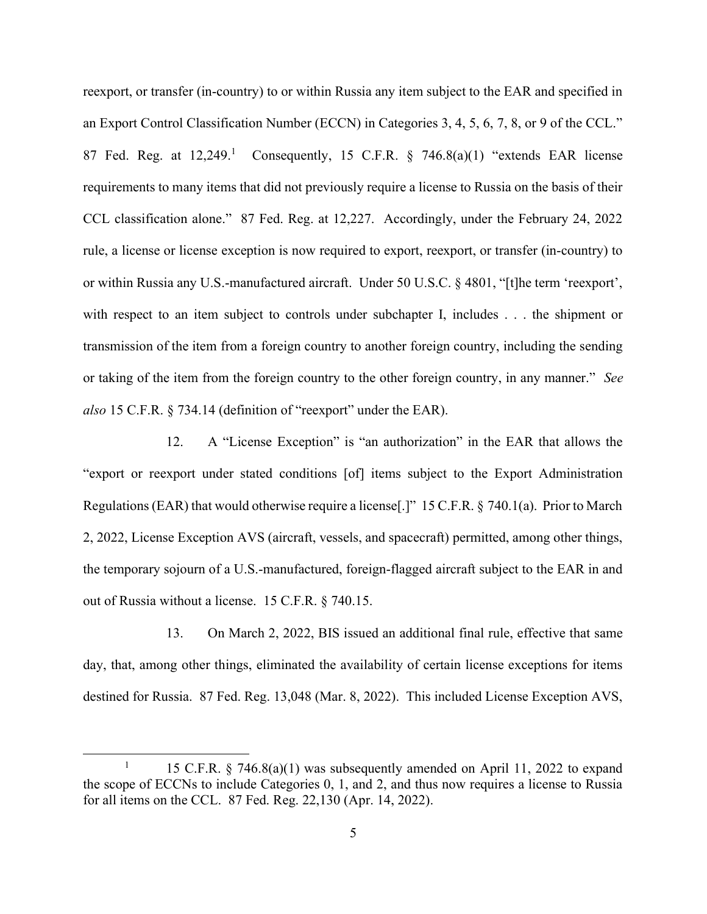reexport, or transfer (in-country) to or within Russia any item subject to the EAR and specified in an Export Control Classification Number (ECCN) in Categories 3, 4, 5, 6, 7, 8, or 9 of the CCL." 87 Fed. Reg. at  $12,249$ .<sup>1</sup> Consequently, 15 C.F.R. § 746.8(a)(1) "extends EAR license requirements to many items that did not previously require a license to Russia on the basis of their CCL classification alone." 87 Fed. Reg. at 12,227. Accordingly, under the February 24, 2022 rule, a license or license exception is now required to export, reexport, or transfer (in-country) to or within Russia any U.S.-manufactured aircraft. Under 50 U.S.C. § 4801, "[t]he term 'reexport', with respect to an item subject to controls under subchapter I, includes . . . the shipment or transmission of the item from a foreign country to another foreign country, including the sending or taking of the item from the foreign country to the other foreign country, in any manner." See also 15 C.F.R. § 734.14 (definition of "reexport" under the EAR).

12. A "License Exception" is "an authorization" in the EAR that allows the "export or reexport under stated conditions [of] items subject to the Export Administration Regulations (EAR) that would otherwise require a license[.]" 15 C.F.R. § 740.1(a). Prior to March 2, 2022, License Exception AVS (aircraft, vessels, and spacecraft) permitted, among other things, the temporary sojourn of a U.S.-manufactured, foreign-flagged aircraft subject to the EAR in and out of Russia without a license. 15 C.F.R. § 740.15.

13. On March 2, 2022, BIS issued an additional final rule, effective that same day, that, among other things, eliminated the availability of certain license exceptions for items destined for Russia. 87 Fed. Reg. 13,048 (Mar. 8, 2022). This included License Exception AVS,

<sup>&</sup>lt;sup>1</sup> 15 C.F.R. § 746.8(a)(1) was subsequently amended on April 11, 2022 to expand the scope of ECCNs to include Categories 0, 1, and 2, and thus now requires a license to Russia for all items on the CCL. 87 Fed. Reg. 22,130 (Apr. 14, 2022).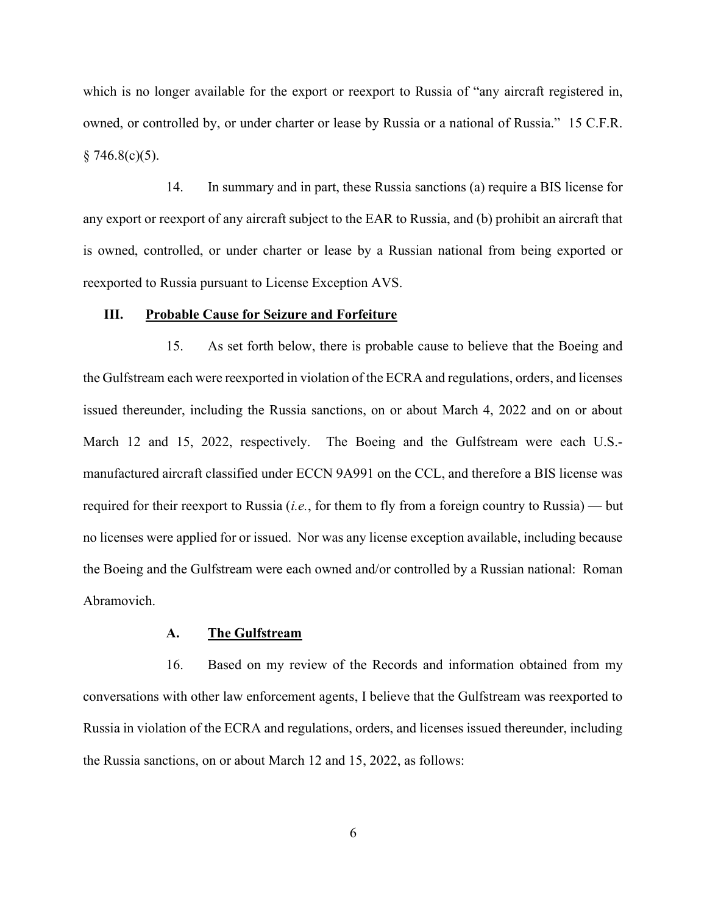which is no longer available for the export or reexport to Russia of "any aircraft registered in, owned, or controlled by, or under charter or lease by Russia or a national of Russia." 15 C.F.R.  $§ 746.8(c)(5).$ 

14. In summary and in part, these Russia sanctions (a) require a BIS license for any export or reexport of any aircraft subject to the EAR to Russia, and (b) prohibit an aircraft that is owned, controlled, or under charter or lease by a Russian national from being exported or reexported to Russia pursuant to License Exception AVS.

#### III. Probable Cause for Seizure and Forfeiture

15. As set forth below, there is probable cause to believe that the Boeing and the Gulfstream each were reexported in violation of the ECRA and regulations, orders, and licenses issued thereunder, including the Russia sanctions, on or about March 4, 2022 and on or about March 12 and 15, 2022, respectively. The Boeing and the Gulfstream were each U.S.manufactured aircraft classified under ECCN 9A991 on the CCL, and therefore a BIS license was required for their reexport to Russia (*i.e.*, for them to fly from a foreign country to Russia) — but no licenses were applied for or issued. Nor was any license exception available, including because the Boeing and the Gulfstream were each owned and/or controlled by a Russian national: Roman Abramovich.

#### A. The Gulfstream

16. Based on my review of the Records and information obtained from my conversations with other law enforcement agents, I believe that the Gulfstream was reexported to Russia in violation of the ECRA and regulations, orders, and licenses issued thereunder, including the Russia sanctions, on or about March 12 and 15, 2022, as follows: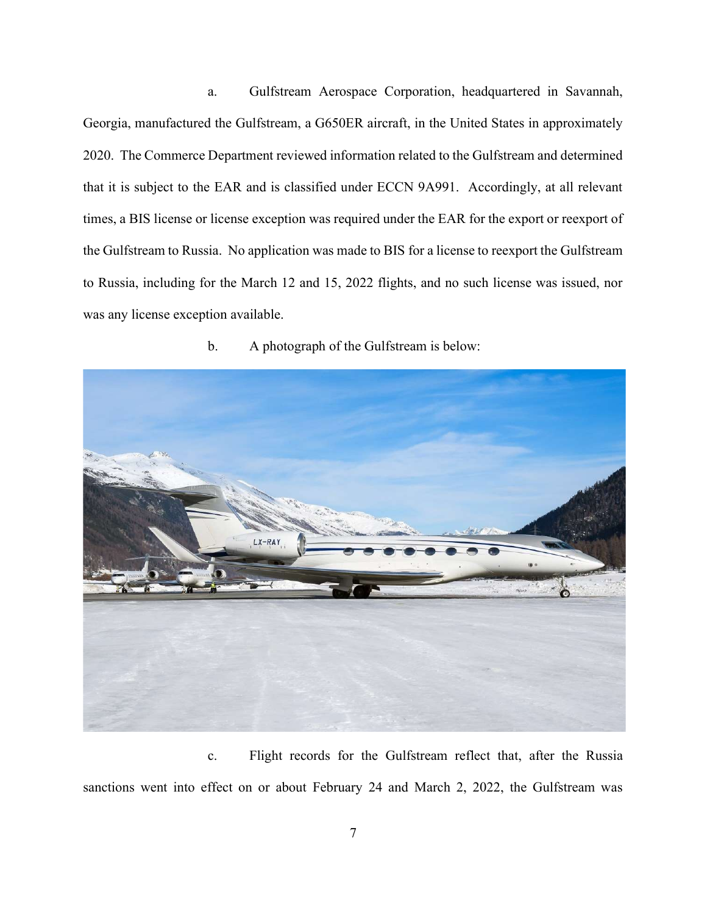a. Gulfstream Aerospace Corporation, headquartered in Savannah, Georgia, manufactured the Gulfstream, a G650ER aircraft, in the United States in approximately 2020. The Commerce Department reviewed information related to the Gulfstream and determined that it is subject to the EAR and is classified under ECCN 9A991. Accordingly, at all relevant times, a BIS license or license exception was required under the EAR for the export or reexport of the Gulfstream to Russia. No application was made to BIS for a license to reexport the Gulfstream to Russia, including for the March 12 and 15, 2022 flights, and no such license was issued, nor was any license exception available.

LX-RAY

## b. A photograph of the Gulfstream is below:

c. Flight records for the Gulfstream reflect that, after the Russia sanctions went into effect on or about February 24 and March 2, 2022, the Gulfstream was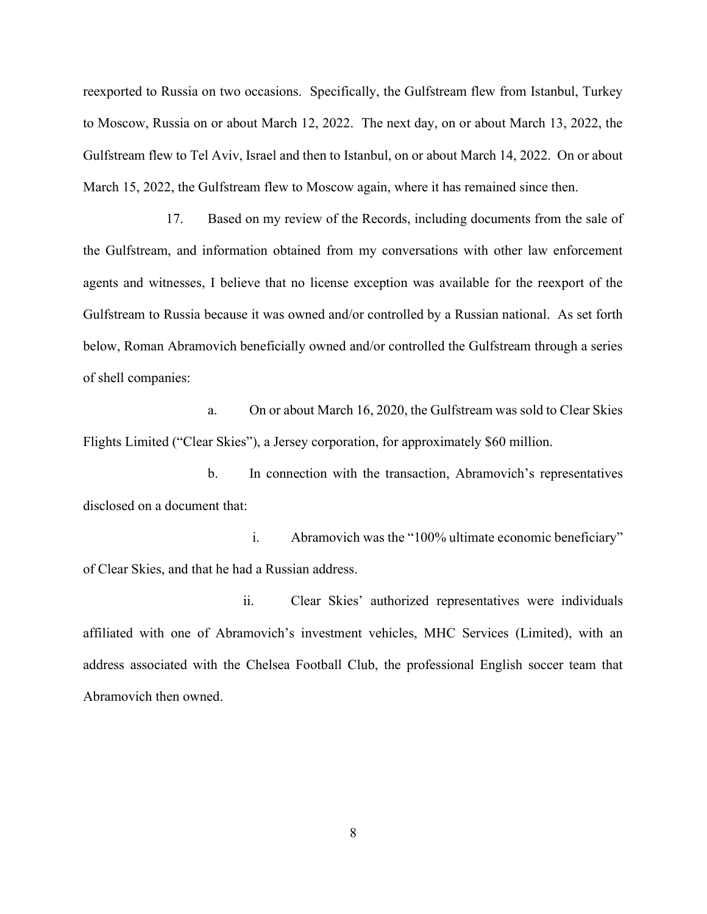reexported to Russia on two occasions. Specifically, the Gulfstream flew from Istanbul, Turkey to Moscow, Russia on or about March 12, 2022. The next day, on or about March 13, 2022, the Gulfstream flew to Tel Aviv, Israel and then to Istanbul, on or about March 14, 2022. On or about March 15, 2022, the Gulfstream flew to Moscow again, where it has remained since then.

17. Based on my review of the Records, including documents from the sale of the Gulfstream, and information obtained from my conversations with other law enforcement agents and witnesses, I believe that no license exception was available for the reexport of the Gulfstream to Russia because it was owned and/or controlled by a Russian national. As set forth below, Roman Abramovich beneficially owned and/or controlled the Gulfstream through a series of shell companies:

a. On or about March 16, 2020, the Gulfstream was sold to Clear Skies Flights Limited ("Clear Skies"), a Jersey corporation, for approximately \$60 million.

b. In connection with the transaction, Abramovich's representatives disclosed on a document that:

i. Abramovich was the "100% ultimate economic beneficiary" of Clear Skies, and that he had a Russian address.

ii. Clear Skies' authorized representatives were individuals affiliated with one of Abramovich's investment vehicles, MHC Services (Limited), with an address associated with the Chelsea Football Club, the professional English soccer team that Abramovich then owned.

8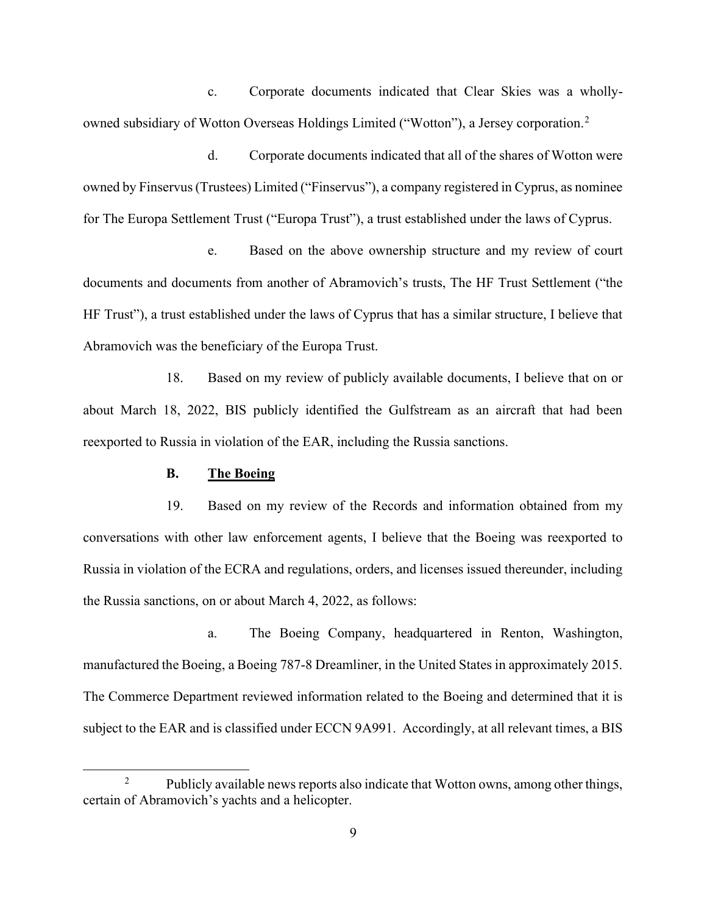c. Corporate documents indicated that Clear Skies was a whollyowned subsidiary of Wotton Overseas Holdings Limited ("Wotton"), a Jersey corporation.<sup>2</sup>

d. Corporate documents indicated that all of the shares of Wotton were owned by Finservus (Trustees) Limited ("Finservus"), a company registered in Cyprus, as nominee for The Europa Settlement Trust ("Europa Trust"), a trust established under the laws of Cyprus.

e. Based on the above ownership structure and my review of court documents and documents from another of Abramovich's trusts, The HF Trust Settlement ("the HF Trust"), a trust established under the laws of Cyprus that has a similar structure, I believe that Abramovich was the beneficiary of the Europa Trust.

18. Based on my review of publicly available documents, I believe that on or about March 18, 2022, BIS publicly identified the Gulfstream as an aircraft that had been reexported to Russia in violation of the EAR, including the Russia sanctions.

### B. The Boeing

19. Based on my review of the Records and information obtained from my conversations with other law enforcement agents, I believe that the Boeing was reexported to Russia in violation of the ECRA and regulations, orders, and licenses issued thereunder, including the Russia sanctions, on or about March 4, 2022, as follows:

a. The Boeing Company, headquartered in Renton, Washington, manufactured the Boeing, a Boeing 787-8 Dreamliner, in the United States in approximately 2015. The Commerce Department reviewed information related to the Boeing and determined that it is subject to the EAR and is classified under ECCN 9A991. Accordingly, at all relevant times, a BIS

<sup>&</sup>lt;sup>2</sup> Publicly available news reports also indicate that Wotton owns, among other things, certain of Abramovich's yachts and a helicopter.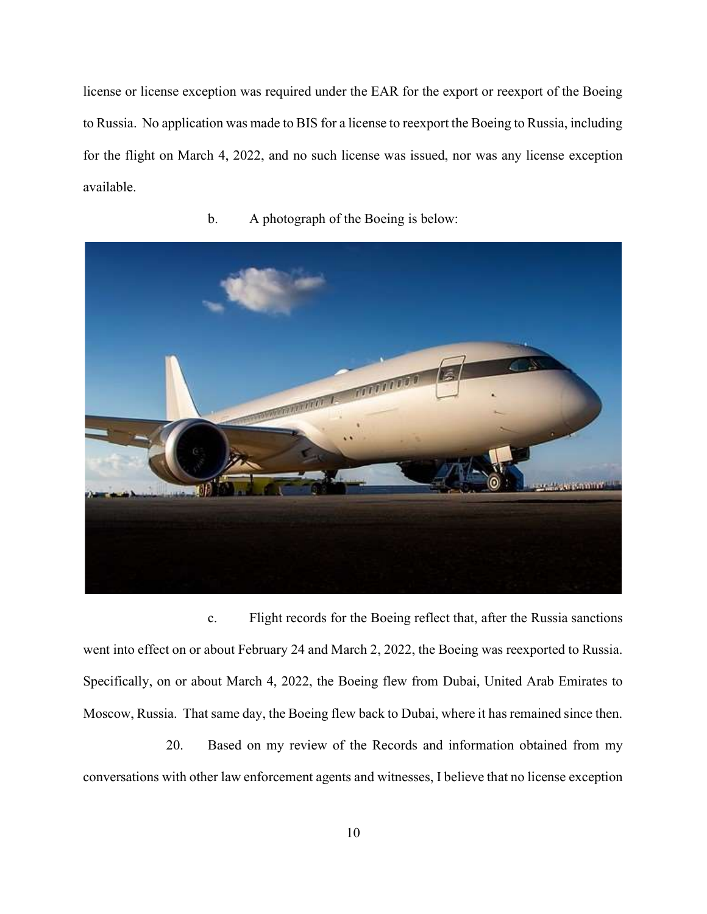license or license exception was required under the EAR for the export or reexport of the Boeing to Russia. No application was made to BIS for a license to reexport the Boeing to Russia, including for the flight on March 4, 2022, and no such license was issued, nor was any license exception available.



b. A photograph of the Boeing is below:

c. Flight records for the Boeing reflect that, after the Russia sanctions went into effect on or about February 24 and March 2, 2022, the Boeing was reexported to Russia. Specifically, on or about March 4, 2022, the Boeing flew from Dubai, United Arab Emirates to Moscow, Russia. That same day, the Boeing flew back to Dubai, where it has remained since then.

20. Based on my review of the Records and information obtained from my conversations with other law enforcement agents and witnesses, I believe that no license exception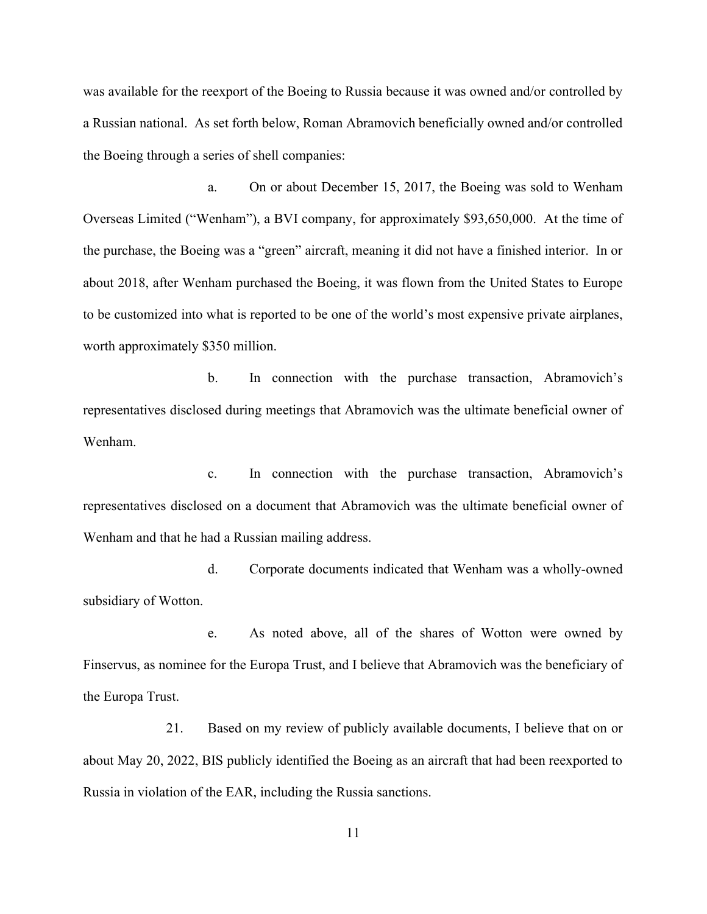was available for the reexport of the Boeing to Russia because it was owned and/or controlled by a Russian national. As set forth below, Roman Abramovich beneficially owned and/or controlled the Boeing through a series of shell companies:

a. On or about December 15, 2017, the Boeing was sold to Wenham Overseas Limited ("Wenham"), a BVI company, for approximately \$93,650,000. At the time of the purchase, the Boeing was a "green" aircraft, meaning it did not have a finished interior. In or about 2018, after Wenham purchased the Boeing, it was flown from the United States to Europe to be customized into what is reported to be one of the world's most expensive private airplanes, worth approximately \$350 million.

b. In connection with the purchase transaction, Abramovich's representatives disclosed during meetings that Abramovich was the ultimate beneficial owner of Wenham.

c. In connection with the purchase transaction, Abramovich's representatives disclosed on a document that Abramovich was the ultimate beneficial owner of Wenham and that he had a Russian mailing address.

d. Corporate documents indicated that Wenham was a wholly-owned subsidiary of Wotton.

e. As noted above, all of the shares of Wotton were owned by Finservus, as nominee for the Europa Trust, and I believe that Abramovich was the beneficiary of the Europa Trust.

21. Based on my review of publicly available documents, I believe that on or about May 20, 2022, BIS publicly identified the Boeing as an aircraft that had been reexported to Russia in violation of the EAR, including the Russia sanctions.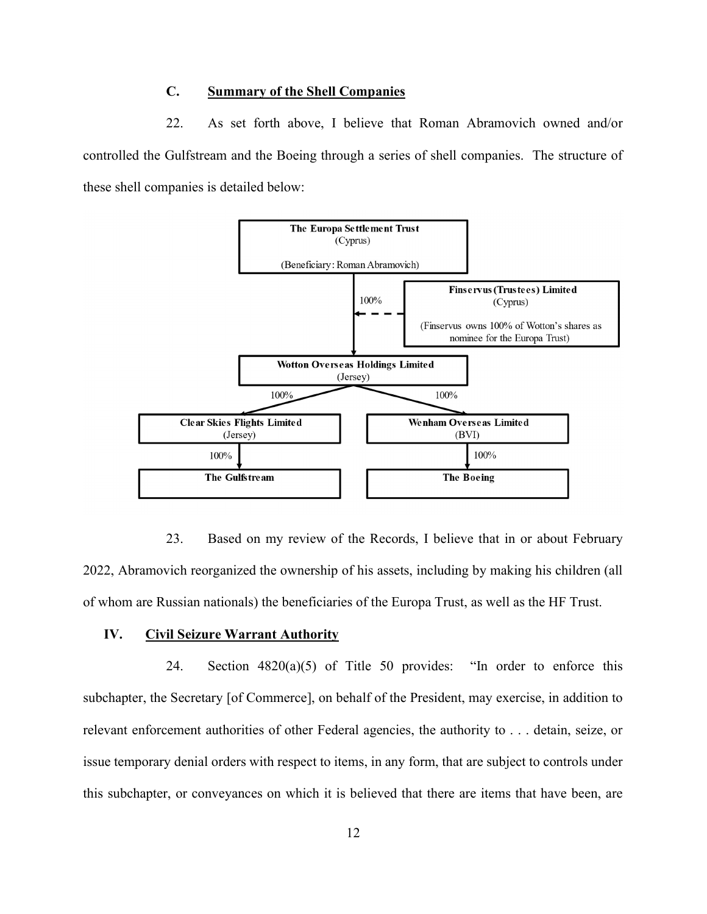## C. Summary of the Shell Companies

22. As set forth above, I believe that Roman Abramovich owned and/or controlled the Gulfstream and the Boeing through a series of shell companies. The structure of these shell companies is detailed below:



23. Based on my review of the Records, I believe that in or about February 2022, Abramovich reorganized the ownership of his assets, including by making his children (all of whom are Russian nationals) the beneficiaries of the Europa Trust, as well as the HF Trust.

#### IV. Civil Seizure Warrant Authority

24. Section 4820(a)(5) of Title 50 provides: "In order to enforce this subchapter, the Secretary [of Commerce], on behalf of the President, may exercise, in addition to relevant enforcement authorities of other Federal agencies, the authority to . . . detain, seize, or issue temporary denial orders with respect to items, in any form, that are subject to controls under this subchapter, or conveyances on which it is believed that there are items that have been, are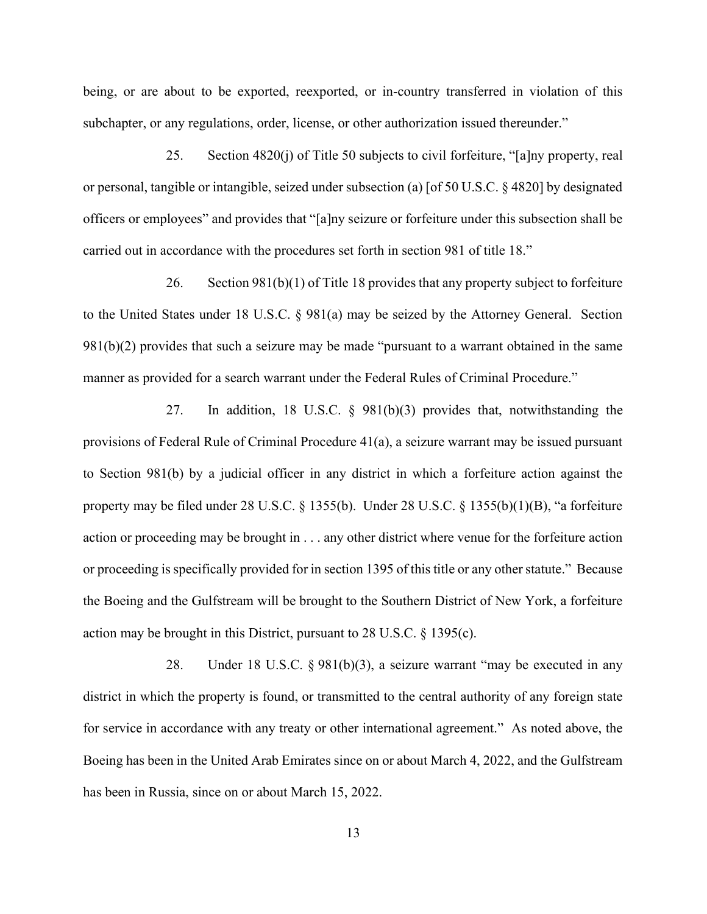being, or are about to be exported, reexported, or in-country transferred in violation of this subchapter, or any regulations, order, license, or other authorization issued thereunder."

25. Section 4820(j) of Title 50 subjects to civil forfeiture, "[a]ny property, real or personal, tangible or intangible, seized under subsection (a) [of 50 U.S.C. § 4820] by designated officers or employees" and provides that "[a]ny seizure or forfeiture under this subsection shall be carried out in accordance with the procedures set forth in section 981 of title 18."

26. Section 981(b)(1) of Title 18 provides that any property subject to forfeiture to the United States under 18 U.S.C. § 981(a) may be seized by the Attorney General. Section 981(b)(2) provides that such a seizure may be made "pursuant to a warrant obtained in the same manner as provided for a search warrant under the Federal Rules of Criminal Procedure."

27. In addition, 18 U.S.C. § 981(b)(3) provides that, notwithstanding the provisions of Federal Rule of Criminal Procedure 41(a), a seizure warrant may be issued pursuant to Section 981(b) by a judicial officer in any district in which a forfeiture action against the property may be filed under 28 U.S.C.  $\S$  1355(b). Under 28 U.S.C.  $\S$  1355(b)(1)(B), "a forfeiture action or proceeding may be brought in . . . any other district where venue for the forfeiture action or proceeding is specifically provided for in section 1395 of this title or any other statute." Because the Boeing and the Gulfstream will be brought to the Southern District of New York, a forfeiture action may be brought in this District, pursuant to 28 U.S.C. § 1395(c).

28. Under 18 U.S.C. § 981(b)(3), a seizure warrant "may be executed in any district in which the property is found, or transmitted to the central authority of any foreign state for service in accordance with any treaty or other international agreement." As noted above, the Boeing has been in the United Arab Emirates since on or about March 4, 2022, and the Gulfstream has been in Russia, since on or about March 15, 2022.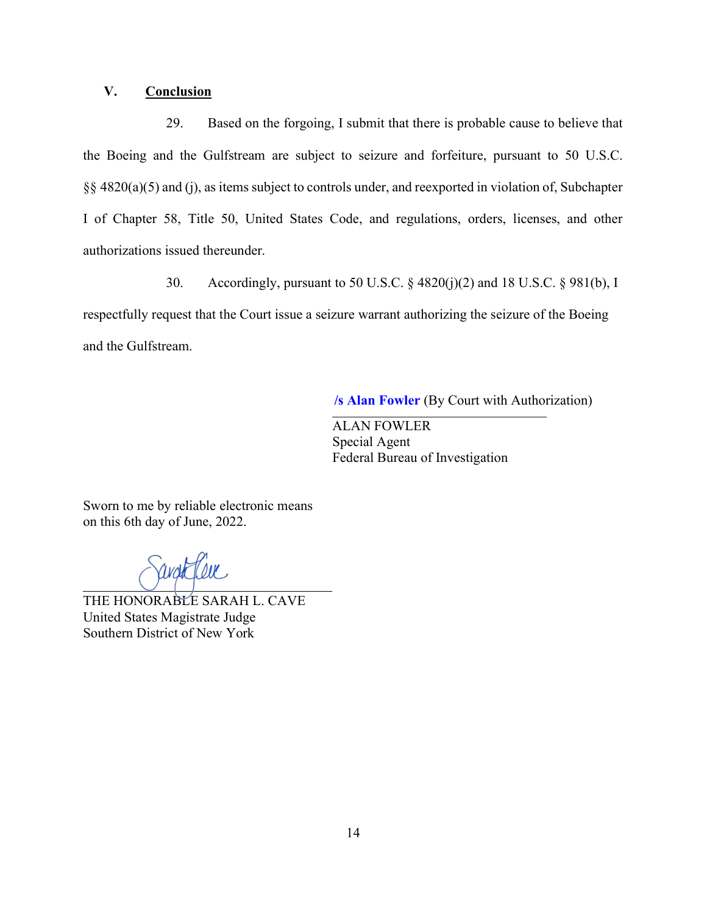## V. Conclusion

29. Based on the forgoing, I submit that there is probable cause to believe that the Boeing and the Gulfstream are subject to seizure and forfeiture, pursuant to 50 U.S.C. §§ 4820(a)(5) and (j), as items subject to controls under, and reexported in violation of, Subchapter I of Chapter 58, Title 50, United States Code, and regulations, orders, licenses, and other authorizations issued thereunder.

30. Accordingly, pursuant to 50 U.S.C. § 4820(j)(2) and 18 U.S.C. § 981(b), I respectfully request that the Court issue a seizure warrant authorizing the seizure of the Boeing and the Gulfstream.

\_\_\_\_\_\_\_\_\_\_\_\_\_\_\_\_\_\_\_\_\_\_\_\_\_\_\_\_\_\_\_ **/s Alan Fowler** (By Court with Authorization)

ALAN FOWLER Special Agent Federal Bureau of Investigation

Sworn to me by reliable electronic means on this 6th day of June, 2022.

THE HONORABLE SARAH L. CAVE United States Magistrate Judge Southern District of New York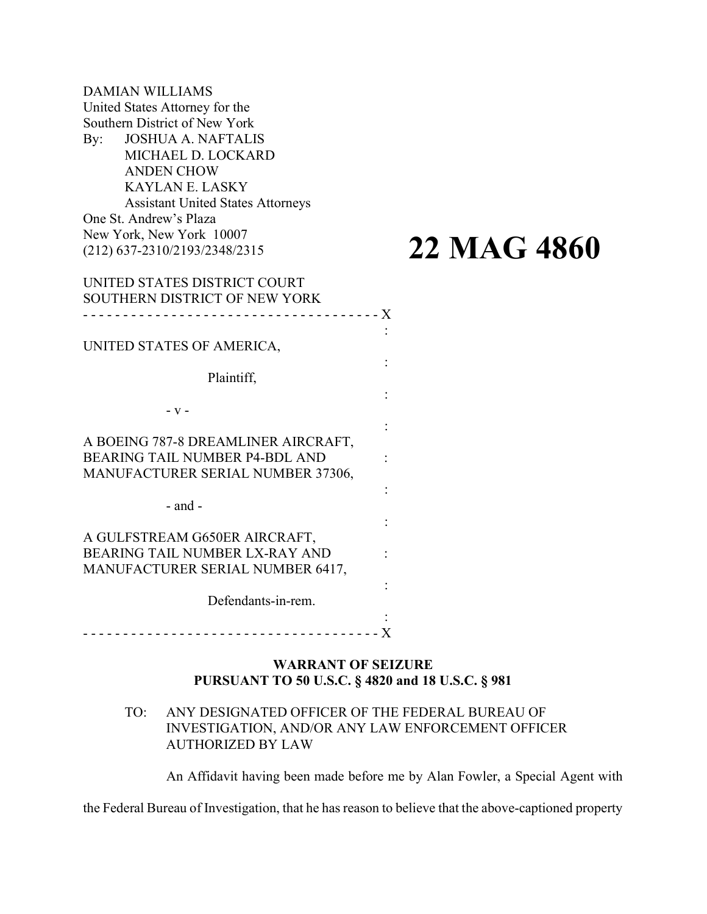DAMIAN WILLIAMS United States Attorney for the Southern District of New York By: JOSHUA A. NAFTALIS MICHAEL D. LOCKARD ANDEN CHOW KAYLAN E. LASKY Assistant United States Attorneys One St. Andrew's Plaza New York, New York 10007 (212) 637-2310/2193/2348/2315 UNITED STATES DISTRICT COURT SOUTHERN DISTRICT OF NEW YORK - - - - - - - - - - - - - - - - - - - - - - - - - - - - - - - - - - - - - X UNITED STATES OF AMERICA, Plaintiff, - v - A BOEING 787-8 DREAMLINER AIRCRAFT, BEARING TAIL NUMBER P4-BDL AND : MANUFACTURER SERIAL NUMBER 37306,

- and -

A GULFSTREAM G650ER AIRCRAFT, BEARING TAIL NUMBER LX-RAY AND : MANUFACTURER SERIAL NUMBER 6417,

Defendants-in-rem.

: - - - - - - - - - - - - - - - - - - - - - - - - - - - - - - - - - - - - - X

## WARRANT OF SEIZURE PURSUANT TO 50 U.S.C. § 4820 and 18 U.S.C. § 981

## TO: ANY DESIGNATED OFFICER OF THE FEDERAL BUREAU OF INVESTIGATION, AND/OR ANY LAW ENFORCEMENT OFFICER AUTHORIZED BY LAW

An Affidavit having been made before me by Alan Fowler, a Special Agent with

:

**22 MAG 4860**

:

:

:

:

:

:

the Federal Bureau of Investigation, that he has reason to believe that the above-captioned property